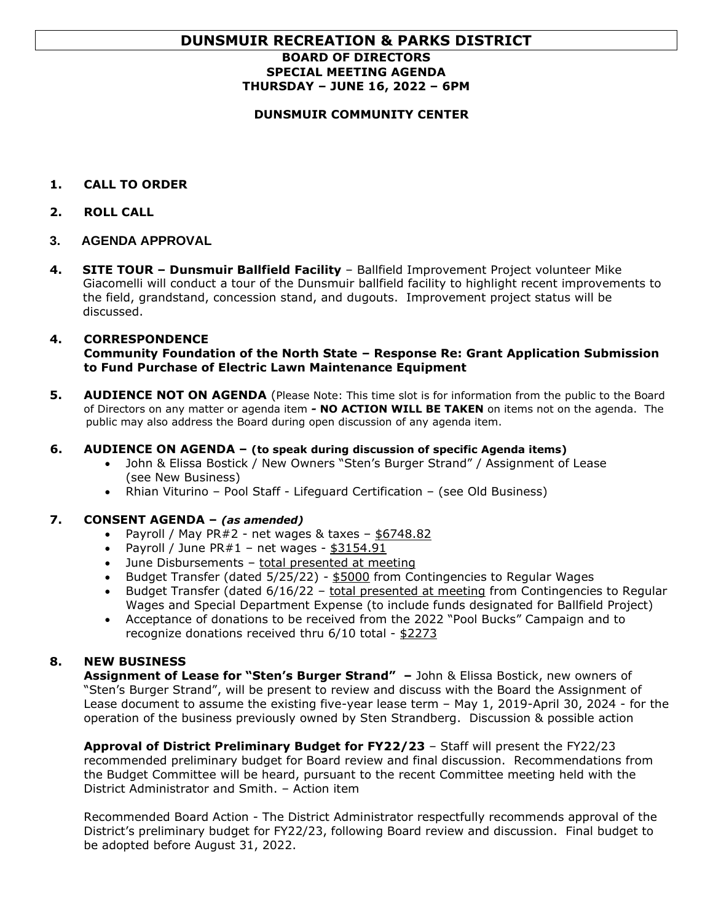# **DUNSMUIR RECREATION & PARKS DISTRICT**

# **BOARD OF DIRECTORS SPECIAL MEETING AGENDA THURSDAY – JUNE 16, 2022 – 6PM**

## **DUNSMUIR COMMUNITY CENTER**

- **1. CALL TO ORDER**
- **2. ROLL CALL**
- **3. AGENDA APPROVAL**
- **4. SITE TOUR – Dunsmuir Ballfield Facility** Ballfield Improvement Project volunteer Mike Giacomelli will conduct a tour of the Dunsmuir ballfield facility to highlight recent improvements to the field, grandstand, concession stand, and dugouts. Improvement project status will be discussed.

## **4. CORRESPONDENCE**

**Community Foundation of the North State – Response Re: Grant Application Submission to Fund Purchase of Electric Lawn Maintenance Equipment**

**5. AUDIENCE NOT ON AGENDA** (Please Note: This time slot is for information from the public to the Board of Directors on any matter or agenda item *-* **NO ACTION WILL BE TAKEN** on items not on the agenda. The public may also address the Board during open discussion of any agenda item.

#### **6. AUDIENCE ON AGENDA – (to speak during discussion of specific Agenda items)**

- John & Elissa Bostick / New Owners "Sten's Burger Strand" / Assignment of Lease (see New Business)
- Rhian Viturino Pool Staff Lifeguard Certification (see Old Business)

#### **7. CONSENT AGENDA –** *(as amended)*

- Payroll / May PR $#2$  net wages & taxes  $-$  \$6748.82
- Payroll / June  $PR#1$  net wages  $$3154.91$
- June Disbursements total presented at meeting
- Budget Transfer (dated 5/25/22) \$5000 from Contingencies to Regular Wages
- Budget Transfer (dated 6/16/22 total presented at meeting from Contingencies to Regular Wages and Special Department Expense (to include funds designated for Ballfield Project)
- Acceptance of donations to be received from the 2022 "Pool Bucks" Campaign and to recognize donations received thru 6/10 total - \$2273

# **8. NEW BUSINESS**

**Assignment of Lease for "Sten's Burger Strand" –** John & Elissa Bostick, new owners of "Sten's Burger Strand", will be present to review and discuss with the Board the Assignment of Lease document to assume the existing five-year lease term – May 1, 2019-April 30, 2024 - for the operation of the business previously owned by Sten Strandberg. Discussion & possible action

**Approval of District Preliminary Budget for FY22/23** – Staff will present the FY22/23 recommended preliminary budget for Board review and final discussion. Recommendations from the Budget Committee will be heard, pursuant to the recent Committee meeting held with the District Administrator and Smith. – Action item

 Recommended Board Action - The District Administrator respectfully recommends approval of the District's preliminary budget for FY22/23, following Board review and discussion. Final budget to be adopted before August 31, 2022.